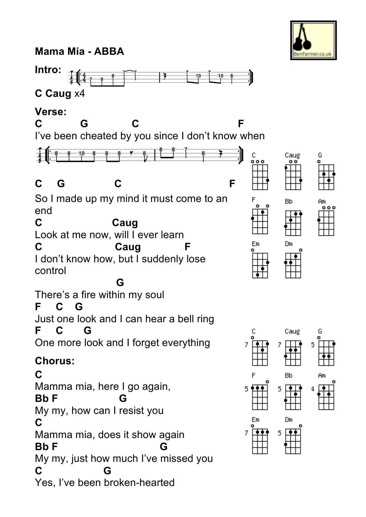**Mama Mia - ABBA**



## **Verse:**



Farmer.co.u